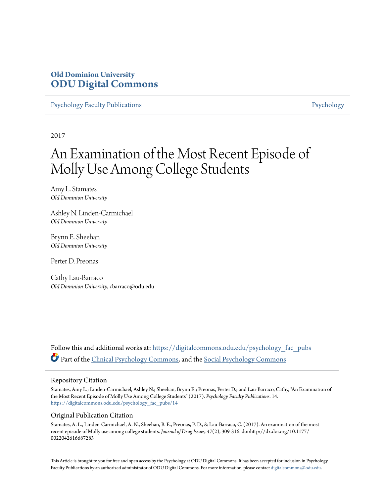## **Old Dominion University [ODU Digital Commons](https://digitalcommons.odu.edu?utm_source=digitalcommons.odu.edu%2Fpsychology_fac_pubs%2F14&utm_medium=PDF&utm_campaign=PDFCoverPages)**

[Psychology Faculty Publications](https://digitalcommons.odu.edu/psychology_fac_pubs?utm_source=digitalcommons.odu.edu%2Fpsychology_fac_pubs%2F14&utm_medium=PDF&utm_campaign=PDFCoverPages) **[Psychology](https://digitalcommons.odu.edu/psychology?utm_source=digitalcommons.odu.edu%2Fpsychology_fac_pubs%2F14&utm_medium=PDF&utm_campaign=PDFCoverPages)** Psychology

2017

# An Examination of the Most Recent Episode of Molly Use Among College Students

Amy L. Stamates *Old Dominion University*

Ashley N. Linden-Carmichael *Old Dominion University*

Brynn E. Sheehan *Old Dominion University*

Perter D. Preonas

Cathy Lau-Barraco *Old Dominion University*, cbarraco@odu.edu

Follow this and additional works at: [https://digitalcommons.odu.edu/psychology\\_fac\\_pubs](https://digitalcommons.odu.edu/psychology_fac_pubs?utm_source=digitalcommons.odu.edu%2Fpsychology_fac_pubs%2F14&utm_medium=PDF&utm_campaign=PDFCoverPages) Part of the [Clinical Psychology Commons,](http://network.bepress.com/hgg/discipline/406?utm_source=digitalcommons.odu.edu%2Fpsychology_fac_pubs%2F14&utm_medium=PDF&utm_campaign=PDFCoverPages) and the [Social Psychology Commons](http://network.bepress.com/hgg/discipline/414?utm_source=digitalcommons.odu.edu%2Fpsychology_fac_pubs%2F14&utm_medium=PDF&utm_campaign=PDFCoverPages)

#### Repository Citation

Stamates, Amy L.; Linden-Carmichael, Ashley N.; Sheehan, Brynn E.; Preonas, Perter D.; and Lau-Barraco, Cathy, "An Examination of the Most Recent Episode of Molly Use Among College Students" (2017). *Psychology Faculty Publications*. 14. [https://digitalcommons.odu.edu/psychology\\_fac\\_pubs/14](https://digitalcommons.odu.edu/psychology_fac_pubs/14?utm_source=digitalcommons.odu.edu%2Fpsychology_fac_pubs%2F14&utm_medium=PDF&utm_campaign=PDFCoverPages)

#### Original Publication Citation

Stamates, A. L., Linden-Carmichael, A. N., Sheehan, B. E., Preonas, P. D., & Lau-Barraco, C. (2017). An examination of the most recent episode of Molly use among college students. *Journal of Drug Issues, 47*(2), 309-316. doi:http://dx.doi.org/10.1177/ 0022042616687283

This Article is brought to you for free and open access by the Psychology at ODU Digital Commons. It has been accepted for inclusion in Psychology Faculty Publications by an authorized administrator of ODU Digital Commons. For more information, please contact [digitalcommons@odu.edu.](mailto:digitalcommons@odu.edu)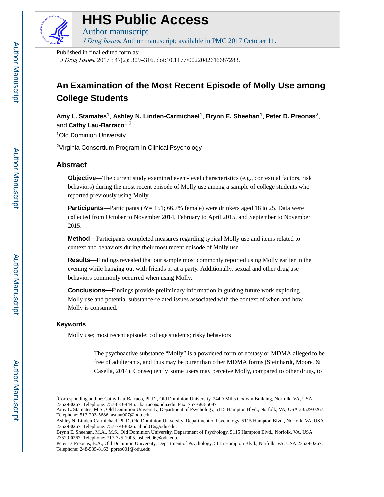

## **HHS Public Access**

Author manuscript

J Drug Issues. Author manuscript; available in PMC 2017 October 11.

Published in final edited form as:

J Drug Issues. 2017 ; 47(2): 309–316. doi:10.1177/0022042616687283.

## **An Examination of the Most Recent Episode of Molly Use among College Students**

**Amy L. Stamates**1, **Ashley N. Linden-Carmichael**1, **Brynn E. Sheehan**1, **Peter D. Preonas**2, and **Cathy Lau-Barraco**1,2

<sup>1</sup>Old Dominion University

<sup>2</sup>Virginia Consortium Program in Clinical Psychology

### **Abstract**

**Objective—The current study examined event-level characteristics (e.g., contextual factors, risk** behaviors) during the most recent episode of Molly use among a sample of college students who reported previously using Molly.

**Participants—**Participants ( $N = 151$ ; 66.7% female) were drinkers aged 18 to 25. Data were collected from October to November 2014, February to April 2015, and September to November 2015.

**Method—**Participants completed measures regarding typical Molly use and items related to context and behaviors during their most recent episode of Molly use.

**Results—**Findings revealed that our sample most commonly reported using Molly earlier in the evening while hanging out with friends or at a party. Additionally, sexual and other drug use behaviors commonly occurred when using Molly.

**Conclusions—**Findings provide preliminary information in guiding future work exploring Molly use and potential substance-related issues associated with the context of when and how Molly is consumed.

#### **Keywords**

Molly use; most recent episode; college students; risky behaviors

The psychoactive substance "Molly" is a powdered form of ecstasy or MDMA alleged to be free of adulterants, and thus may be purer than other MDMA forms (Steinhardt, Moore, & Casella, 2014). Consequently, some users may perceive Molly, compared to other drugs, to

<sup>\*</sup>Corresponding author: Cathy Lau-Barraco, Ph.D., Old Dominion University, 244D Mills Godwin Building, Norfolk, VA, USA 23529-0267. Telephone: 757-683-4445. cbarraco@odu.edu. Fax: 757-683-5087.

Amy L. Stamates, M.S., Old Dominion University, Department of Psychology, 5115 Hampton Blvd., Norfolk, VA, USA 23529-0267. Telephone: 513-203-5686. astam007@odu.edu.

Ashley N. Linden-Carmichael, Ph.D, Old Dominion University, Department of Psychology, 5115 Hampton Blvd., Norfolk, VA, USA 23529-0267. Telephone: 757-793-8326. alind016@odu.edu.

Brynn E. Sheehan, M.A., M.S., Old Dominion University, Department of Psychology, 5115 Hampton Blvd., Norfolk, VA, USA 23529-0267. Telephone: 717-725-1005. bshee006@odu.edu.

Peter D. Preonas, B.A., Old Dominion University, Department of Psychology, 5115 Hampton Blvd., Norfolk, VA, USA 23529-0267. Telephone: 248-535-8163. ppreo001@odu.edu.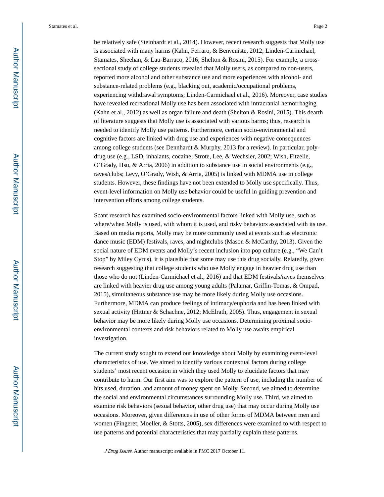be relatively safe (Steinhardt et al., 2014). However, recent research suggests that Molly use is associated with many harms (Kahn, Ferraro, & Benveniste, 2012; Linden-Carmichael, Stamates, Sheehan, & Lau-Barraco, 2016; Shelton & Rosini, 2015). For example, a crosssectional study of college students revealed that Molly users, as compared to non-users, reported more alcohol and other substance use and more experiences with alcohol- and substance-related problems (e.g., blacking out, academic/occupational problems, experiencing withdrawal symptoms; Linden-Carmichael et al., 2016). Moreover, case studies have revealed recreational Molly use has been associated with intracranial hemorrhaging (Kahn et al., 2012) as well as organ failure and death (Shelton & Rosini, 2015). This dearth of literature suggests that Molly use is associated with various harms; thus, research is needed to identify Molly use patterns. Furthermore, certain socio-environmental and cognitive factors are linked with drug use and experiences with negative consequences among college students (see Dennhardt & Murphy, 2013 for a review). In particular, polydrug use (e.g., LSD, inhalants, cocaine; Strote, Lee, & Wechsler, 2002; Wish, Fitzelle, O'Grady, Hsu, & Arria, 2006) in addition to substance use in social environments (e.g., raves/clubs; Levy, O'Grady, Wish, & Arria, 2005) is linked with MDMA use in college students. However, these findings have not been extended to Molly use specifically. Thus, event-level information on Molly use behavior could be useful in guiding prevention and intervention efforts among college students.

Scant research has examined socio-environmental factors linked with Molly use, such as where/when Molly is used, with whom it is used, and risky behaviors associated with its use. Based on media reports, Molly may be more commonly used at events such as electronic dance music (EDM) festivals, raves, and nightclubs (Mason & McCarthy, 2013). Given the social nature of EDM events and Molly's recent inclusion into pop culture (e.g., "We Can't Stop" by Miley Cyrus), it is plausible that some may use this drug socially. Relatedly, given research suggesting that college students who use Molly engage in heavier drug use than those who do not (Linden-Carmichael et al., 2016) and that EDM festivals/raves themselves are linked with heavier drug use among young adults (Palamar, Griffin-Tomas, & Ompad, 2015), simultaneous substance use may be more likely during Molly use occasions. Furthermore, MDMA can produce feelings of intimacy/euphoria and has been linked with sexual activity (Hittner & Schachne, 2012; McElrath, 2005). Thus, engagement in sexual behavior may be more likely during Molly use occasions. Determining proximal socioenvironmental contexts and risk behaviors related to Molly use awaits empirical investigation.

The current study sought to extend our knowledge about Molly by examining event-level characteristics of use. We aimed to identify various contextual factors during college students' most recent occasion in which they used Molly to elucidate factors that may contribute to harm. Our first aim was to explore the pattern of use, including the number of hits used, duration, and amount of money spent on Molly. Second, we aimed to determine the social and environmental circumstances surrounding Molly use. Third, we aimed to examine risk behaviors (sexual behavior, other drug use) that may occur during Molly use occasions. Moreover, given differences in use of other forms of MDMA between men and women (Fingeret, Moeller, & Stotts, 2005), sex differences were examined to with respect to use patterns and potential characteristics that may partially explain these patterns.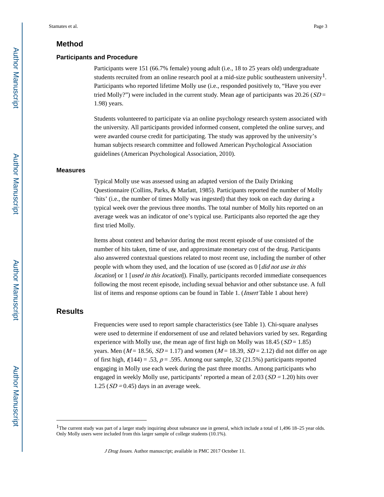#### **Method**

#### **Participants and Procedure**

Participants were 151 (66.7% female) young adult (i.e., 18 to 25 years old) undergraduate students recruited from an online research pool at a mid-size public southeastern university<sup>1</sup>. Participants who reported lifetime Molly use (i.e., responded positively to, "Have you ever tried Molly?") were included in the current study. Mean age of participants was  $20.26$  ( $SD =$ 1.98) years.

Students volunteered to participate via an online psychology research system associated with the university. All participants provided informed consent, completed the online survey, and were awarded course credit for participating. The study was approved by the university's human subjects research committee and followed American Psychological Association guidelines (American Psychological Association, 2010).

#### **Measures**

Typical Molly use was assessed using an adapted version of the Daily Drinking Questionnaire (Collins, Parks, & Marlatt, 1985). Participants reported the number of Molly 'hits' (i.e., the number of times Molly was ingested) that they took on each day during a typical week over the previous three months. The total number of Molly hits reported on an average week was an indicator of one's typical use. Participants also reported the age they first tried Molly.

Items about context and behavior during the most recent episode of use consisted of the number of hits taken, time of use, and approximate monetary cost of the drug. Participants also answered contextual questions related to most recent use, including the number of other people with whom they used, and the location of use (scored as  $0 \mid did$  not use in this *location*] or 1 [*used in this location*]). Finally, participants recorded immediate consequences following the most recent episode, including sexual behavior and other substance use. A full list of items and response options can be found in Table 1. (Insert Table 1 about here)

#### **Results**

Frequencies were used to report sample characteristics (see Table 1). Chi-square analyses were used to determine if endorsement of use and related behaviors varied by sex. Regarding experience with Molly use, the mean age of first high on Molly was  $18.45$  ( $SD = 1.85$ ) years. Men ( $M = 18.56$ ,  $SD = 1.17$ ) and women ( $M = 18.39$ ,  $SD = 2.12$ ) did not differ on age of first high,  $r(144) = .53$ ,  $p = .595$ . Among our sample, 32 (21.5%) participants reported engaging in Molly use each week during the past three months. Among participants who engaged in weekly Molly use, participants' reported a mean of  $2.03$  ( $SD = 1.20$ ) hits over 1.25 ( $SD = 0.45$ ) days in an average week.

<sup>&</sup>lt;sup>1</sup>The current study was part of a larger study inquiring about substance use in general, which include a total of 1,496 18–25 year olds. Only Molly users were included from this larger sample of college students (10.1%).

J Drug Issues. Author manuscript; available in PMC 2017 October 11.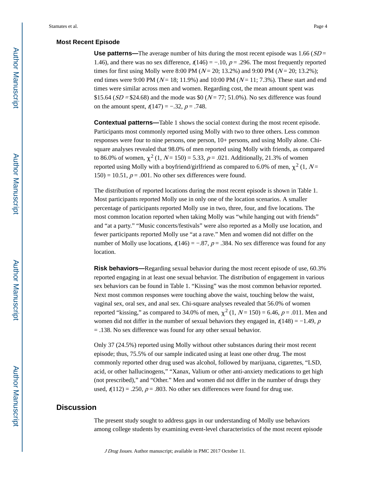#### **Most Recent Episode**

**Use patterns—The average number of hits during the most recent episode was**  $1.66$  **(** $SD =$ 1.46), and there was no sex difference,  $t(146) = -.10$ ,  $p = .296$ . The most frequently reported times for first using Molly were 8:00 PM ( $N = 20$ ; 13.2%) and 9:00 PM ( $N = 20$ ; 13.2%); end times were 9:00 PM ( $N = 18$ ; 11.9%) and 10:00 PM ( $N = 11$ ; 7.3%). These start and end times were similar across men and women. Regarding cost, the mean amount spent was \$15.64 ( $SD = $24.68$ ) and the mode was \$0 ( $N = 77$ ; 51.0%). No sex difference was found on the amount spent,  $t(147) = -.32$ ,  $p = .748$ .

**Contextual patterns—**Table 1 shows the social context during the most recent episode. Participants most commonly reported using Molly with two to three others. Less common responses were four to nine persons, one person, 10+ persons, and using Molly alone. Chisquare analyses revealed that 98.0% of men reported using Molly with friends, as compared to 86.0% of women,  $\chi^2$  (1, N = 150) = 5.33, p = .021. Additionally, 21.3% of women reported using Molly with a boyfriend/girlfriend as compared to 6.0% of men,  $\chi^2$  (1, N=  $150$ ) = 10.51,  $p = .001$ . No other sex differences were found.

The distribution of reported locations during the most recent episode is shown in Table 1. Most participants reported Molly use in only one of the location scenarios. A smaller percentage of participants reported Molly use in two, three, four, and five locations. The most common location reported when taking Molly was "while hanging out with friends" and "at a party." "Music concerts/festivals" were also reported as a Molly use location, and fewer participants reported Molly use "at a rave." Men and women did not differ on the number of Molly use locations,  $r(146) = -.87$ ,  $p = .384$ . No sex difference was found for any location.

**Risk behaviors—**Regarding sexual behavior during the most recent episode of use, 60.3% reported engaging in at least one sexual behavior. The distribution of engagement in various sex behaviors can be found in Table 1. "Kissing" was the most common behavior reported. Next most common responses were touching above the waist, touching below the waist, vaginal sex, oral sex, and anal sex. Chi-square analyses revealed that 56.0% of women reported "kissing," as compared to 34.0% of men,  $\chi^2$  (1, N = 150) = 6.46, p = .011. Men and women did not differ in the number of sexual behaviors they engaged in,  $t(148) = -1.49$ , p = .138. No sex difference was found for any other sexual behavior.

Only 37 (24.5%) reported using Molly without other substances during their most recent episode; thus, 75.5% of our sample indicated using at least one other drug. The most commonly reported other drug used was alcohol, followed by marijuana, cigarettes, "LSD, acid, or other hallucinogens," "Xanax, Valium or other anti-anxiety medications to get high (not prescribed)," and "Other." Men and women did not differ in the number of drugs they used,  $t(112) = .250$ ,  $p = .803$ . No other sex differences were found for drug use.

#### **Discussion**

The present study sought to address gaps in our understanding of Molly use behaviors among college students by examining event-level characteristics of the most recent episode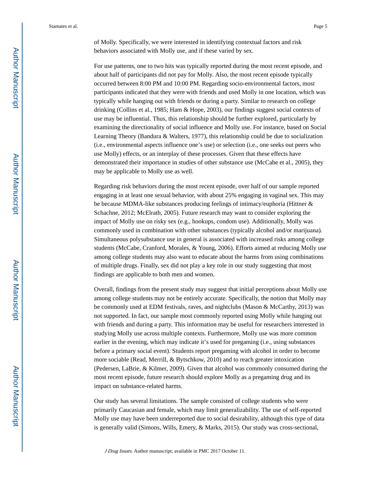of Molly. Specifically, we were interested in identifying contextual factors and risk behaviors associated with Molly use, and if these varied by sex.

For use patterns, one to two hits was typically reported during the most recent episode, and about half of participants did not pay for Molly. Also, the most recent episode typically occurred between 8:00 PM and 10:00 PM. Regarding socio-environmental factors, most participants indicated that they were with friends and used Molly in one location, which was typically while hanging out with friends or during a party. Similar to research on college drinking (Collins et al., 1985; Ham & Hope, 2003), our findings suggest social contexts of use may be influential. Thus, this relationship should be further explored, particularly by examining the directionality of social influence and Molly use. For instance, based on Social Learning Theory (Bandura & Walters, 1977), this relationship could be due to socialization (i.e., environmental aspects influence one's use) or selection (i.e., one seeks out peers who use Molly) effects, or an interplay of these processes. Given that these effects have demonstrated their importance in studies of other substance use (McCabe et al., 2005), they may be applicable to Molly use as well.

Regarding risk behaviors during the most recent episode, over half of our sample reported engaging in at least one sexual behavior, with about 25% engaging in vaginal sex. This may be because MDMA-like substances producing feelings of intimacy/euphoria (Hittner & Schachne, 2012; McElrath, 2005). Future research may want to consider exploring the impact of Molly use on risky sex (e.g., hookups, condom use). Additionally, Molly was commonly used in combination with other substances (typically alcohol and/or marijuana). Simultaneous polysubstance use in general is associated with increased risks among college students (McCabe, Cranford, Morales, & Young, 2006). Efforts aimed at reducing Molly use among college students may also want to educate about the harms from using combinations of multiple drugs. Finally, sex did not play a key role in our study suggesting that most findings are applicable to both men and women.

Overall, findings from the present study may suggest that initial perceptions about Molly use among college students may not be entirely accurate. Specifically, the notion that Molly may be commonly used at EDM festivals, raves, and nightclubs (Mason & McCarthy, 2013) was not supported. In fact, our sample most commonly reported using Molly while hanging out with friends and during a party. This information may be useful for researchers interested in studying Molly use across multiple contexts. Furthermore, Molly use was more common earlier in the evening, which may indicate it's used for pregaming (i.e., using substances before a primary social event). Students report pregaming with alcohol in order to become more sociable (Read, Merrill, & Bytschkow, 2010) and to reach greater intoxication (Pedersen, LaBrie, & Kilmer, 2009). Given that alcohol was commonly consumed during the most recent episode, future research should explore Molly as a pregaming drug and its impact on substance-related harms.

Our study has several limitations. The sample consisted of college students who were primarily Caucasian and female, which may limit generalizability. The use of self-reported Molly use may have been underreported due to social desirability, although this type of data is generally valid (Simons, Wills, Emery, & Marks, 2015). Our study was cross-sectional,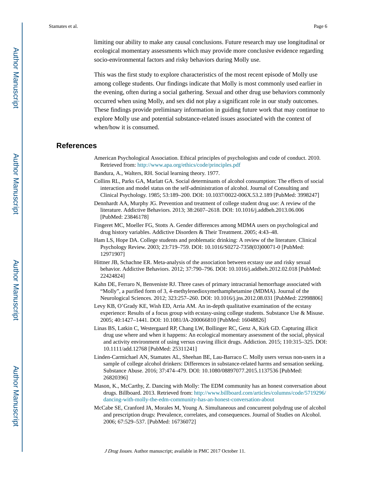limiting our ability to make any causal conclusions. Future research may use longitudinal or ecological momentary assessments which may provide more conclusive evidence regarding socio-environmental factors and risky behaviors during Molly use.

This was the first study to explore characteristics of the most recent episode of Molly use among college students. Our findings indicate that Molly is most commonly used earlier in the evening, often during a social gathering. Sexual and other drug use behaviors commonly occurred when using Molly, and sex did not play a significant role in our study outcomes. These findings provide preliminary information in guiding future work that may continue to explore Molly use and potential substance-related issues associated with the context of when/how it is consumed.

#### **References**

- American Psychological Association. Ethical principles of psychologists and code of conduct. 2010. Retrieved from:<http://www.apa.org/ethics/code/principles.pdf>
- Bandura, A., Walters, RH. Social learning theory. 1977.
- Collins RL, Parks GA, Marlatt GA. Social determinants of alcohol consumption: The effects of social interaction and model status on the self-administration of alcohol. Journal of Consulting and Clinical Psychology. 1985; 53:189–200. DOI: 10.1037/0022-006X.53.2.189 [PubMed: 3998247]
- Dennhardt AA, Murphy JG. Prevention and treatment of college student drug use: A review of the literature. Addictive Behaviors. 2013; 38:2607–2618. DOI: 10.1016/j.addbeh.2013.06.006 [PubMed: 23846178]
- Fingeret MC, Moeller FG, Stotts A. Gender differences among MDMA users on psychological and drug history variables. Addictive Disorders & Their Treatment. 2005; 4:43–48.
- Ham LS, Hope DA. College students and problematic drinking: A review of the literature. Clinical Psychology Review. 2003; 23:719–759. DOI: 10.1016/S0272-7358(03)00071-0 [PubMed: 12971907]
- Hittner JB, Schachne ER. Meta-analysis of the association between ecstasy use and risky sexual behavior. Addictive Behaviors. 2012; 37:790–796. DOI: 10.1016/j.addbeh.2012.02.018 [PubMed: 22424824]
- Kahn DE, Ferraro N, Benveniste RJ. Three cases of primary intracranial hemorrhage associated with "Molly", a purified form of 3, 4-methylenedioxymethamphetamine (MDMA). Journal of the Neurological Sciences. 2012; 323:257–260. DOI: 10.1016/j.jns.2012.08.031 [PubMed: 22998806]
- Levy KB, O'Grady KE, Wish ED, Arria AM. An in-depth qualitative examination of the ecstasy experience: Results of a focus group with ecstasy-using college students. Substance Use & Misuse. 2005; 40:1427–1441. DOI: 10.1081/JA-200066810 [PubMed: 16048826]
- Linas BS, Latkin C, Westergaard RP, Chang LW, Bollinger RC, Genz A, Kirk GD. Capturing illicit drug use where and when it happens: An ecological momentary assessment of the social, physical and activity environment of using versus craving illicit drugs. Addiction. 2015; 110:315–325. DOI: 10.1111/add.12768 [PubMed: 25311241]
- Linden-Carmichael AN, Stamates AL, Sheehan BE, Lau-Barraco C. Molly users versus non-users in a sample of college alcohol drinkers: Differences in substance-related harms and sensation seeking. Substance Abuse. 2016; 37:474–479. DOI: 10.1080/08897077.2015.1137536 [PubMed: 26820396]
- Mason, K., McCarthy, Z. Dancing with Molly: The EDM community has an honest conversation about drugs. Billboard. 2013. Retrieved from: [http://www.billboard.com/articles/columns/code/5719296/](http://www.billboard.com/articles/columns/code/5719296/dancing-with-molly-the-edm-community-has-an-honest-conversation-about) [dancing-with-molly-the-edm-community-has-an-honest-conversation-about](http://www.billboard.com/articles/columns/code/5719296/dancing-with-molly-the-edm-community-has-an-honest-conversation-about)
- McCabe SE, Cranford JA, Morales M, Young A. Simultaneous and concurrent polydrug use of alcohol and prescription drugs: Prevalence, correlates, and consequences. Journal of Studies on Alcohol. 2006; 67:529–537. [PubMed: 16736072]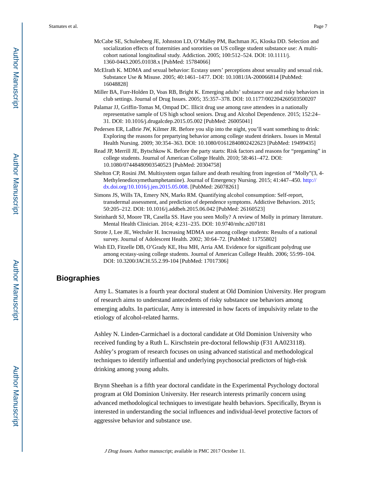- McCabe SE, Schulenberg JE, Johnston LD, O'Malley PM, Bachman JG, Kloska DD. Selection and socialization effects of fraternities and sororities on US college student substance use: A multicohort national longitudinal study. Addiction. 2005; 100:512–524. DOI: 10.1111/j. 1360-0443.2005.01038.x [PubMed: 15784066]
- McElrath K. MDMA and sexual behavior: Ecstasy users' perceptions about sexuality and sexual risk. Substance Use & Misuse. 2005; 40:1461–1477. DOI: 10.1081/JA-200066814 [PubMed: 16048828]
- Miller BA, Furr-Holden D, Voas RB, Bright K. Emerging adults' substance use and risky behaviors in club settings. Journal of Drug Issues. 2005; 35:357–378. DOI: 10.1177/002204260503500207
- Palamar JJ, Griffin-Tomas M, Ompad DC. Illicit drug use among rave attendees in a nationally representative sample of US high school seniors. Drug and Alcohol Dependence. 2015; 152:24– 31. DOI: 10.1016/j.drugalcdep.2015.05.002 [PubMed: 26005041]
- Pedersen ER, LaBrie JW, Kilmer JR. Before you slip into the night, you'll want something to drink: Exploring the reasons for prepartying behavior among college student drinkers. Issues in Mental Health Nursing. 2009; 30:354–363. DOI: 10.1080/01612840802422623 [PubMed: 19499435]
- Read JP, Merrill JE, Bytschkow K. Before the party starts: Risk factors and reasons for "pregaming" in college students. Journal of American College Health. 2010; 58:461–472. DOI: 10.1080/07448480903540523 [PubMed: 20304758]
- Shelton CP, Rosini JM. Multisystem organ failure and death resulting from ingestion of "Molly"(3, 4- Methylenedioxymethamphetamine). Journal of Emergency Nursing. 2015; 41:447–450. [http://](http://dx.doi.org/10.1016/j.jen.2015.05.008) [dx.doi.org/10.1016/j.jen.2015.05.008](http://dx.doi.org/10.1016/j.jen.2015.05.008). [PubMed: 26078261]
- Simons JS, Wills TA, Emery NN, Marks RM. Quantifying alcohol consumption: Self-report, transdermal assessment, and prediction of dependence symptoms. Addictive Behaviors. 2015; 50:205–212. DOI: 10.1016/j.addbeh.2015.06.042 [PubMed: 26160523]
- Steinhardt SJ, Moore TR, Casella SS. Have you seen Molly? A review of Molly in primary literature. Mental Health Clinician. 2014; 4:231–235. DOI: 10.9740/mhc.n207181
- Strote J, Lee JE, Wechsler H. Increasing MDMA use among college students: Results of a national survey. Journal of Adolescent Health. 2002; 30:64–72. [PubMed: 11755802]
- Wish ED, Fitzelle DB, O'Grady KE, Hsu MH, Arria AM. Evidence for significant polydrug use among ecstasy-using college students. Journal of American College Health. 2006; 55:99–104. DOI: 10.3200/JACH.55.2.99-104 [PubMed: 17017306]

#### **Biographies**

Amy L. Stamates is a fourth year doctoral student at Old Dominion University. Her program of research aims to understand antecedents of risky substance use behaviors among emerging adults. In particular, Amy is interested in how facets of impulsivity relate to the etiology of alcohol-related harms.

Ashley N. Linden-Carmichael is a doctoral candidate at Old Dominion University who received funding by a Ruth L. Kirschstein pre-doctoral fellowship (F31 AA023118). Ashley's program of research focuses on using advanced statistical and methodological techniques to identify influential and underlying psychosocial predictors of high-risk drinking among young adults.

Brynn Sheehan is a fifth year doctoral candidate in the Experimental Psychology doctoral program at Old Dominion University. Her research interests primarily concern using advanced methodological techniques to investigate health behaviors. Specifically, Brynn is interested in understanding the social influences and individual-level protective factors of aggressive behavior and substance use.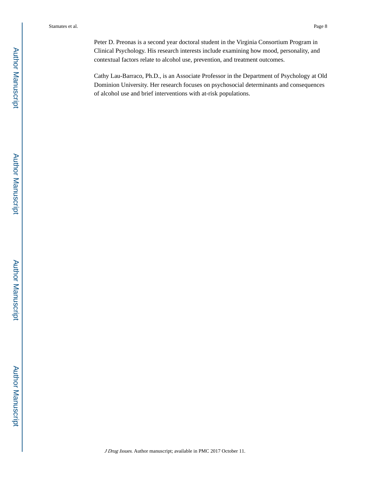Peter D. Preonas is a second year doctoral student in the Virginia Consortium Program in Clinical Psychology. His research interests include examining how mood, personality, and contextual factors relate to alcohol use, prevention, and treatment outcomes.

Cathy Lau-Barraco, Ph.D., is an Associate Professor in the Department of Psychology at Old Dominion University. Her research focuses on psychosocial determinants and consequences of alcohol use and brief interventions with at-risk populations.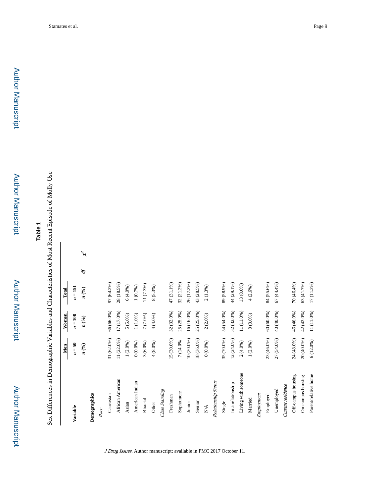# **Table 1**

Sex Differences in Demographic Variables and Characteristics of Most Recent Episode of Molly Use Sex Differences in Demographic Variables and Characteristics of Most Recent Episode of Molly Use

|                      | Men         | Women          | <b>Total</b>  |   |                            |
|----------------------|-------------|----------------|---------------|---|----------------------------|
|                      |             |                |               |   |                            |
| Variable             | $n = 50$    | $n=100$        | $n = 151$     |   |                            |
|                      | n(%)        | n(%)           | n(%)          | Ą | $\boldsymbol{\mathcal{F}}$ |
| Demographics         |             |                |               |   |                            |
| Race                 |             |                |               |   |                            |
| Caucasian            | 31 (62.0%)  | 66 (66.0%)     | 97 (64.2%)    |   |                            |
| African American     | 11 (22.0%)  | 17 (17.0%)     | 28 (18.5%)    |   |                            |
| Asian                | $1(2.0\%)$  | $5(5.0\%)$     | 6(4.0%)       |   |                            |
| American Indian      | 0(0.0%)     | $1\,(1.0\%)$   | 1(0.7%)       |   |                            |
| <b>Biracial</b>      | $3(6.0\%)$  | 7 (7.0%)       | 11 (7.3%)     |   |                            |
| Other                | $4(8.0\%)$  | 4 (4.0%)       | $8(5.3\%)$    |   |                            |
| Class Standing       |             |                |               |   |                            |
| Freshman             | 15 (30.0%)  | 32 (32.0%)     | 47 (31.1%)    |   |                            |
| Sophomore            | 7 (14.0%    | 25 (25.0%)     | 32 (21.2%)    |   |                            |
| Junior               | 10 (20.0%)  | $16\,(16.0\%)$ | 26 (17.2%)    |   |                            |
| Senior               | 18 (36.0%)  | 25 (25.0%)     | 43 (28.5%)    |   |                            |
| $\sum_{i=1}^{n}$     | 0(0.0%)     | $2(2.0\%)$     | $2(1.3\%)$    |   |                            |
| Relationship Status  |             |                |               |   |                            |
| Single               | 35 (70.0%)  | 54 (54.0%)     | 89 (58.9%)    |   |                            |
| In a relationship    | 12 (24.0%)  | $32(32.0\%)$   | 44 (29.1%)    |   |                            |
| Living with someone  | $2(4.0\%)$  | $11\,(11.0\%)$ | $13\ (8.6\%)$ |   |                            |
| Married              | 1(2.0%)     | $3(3.0\%)$     | $4(2.6\%)$    |   |                            |
| Employment           |             |                |               |   |                            |
| Employed             | 23 (46.0%)  | 60 (60.0%)     | 84 (55.6%)    |   |                            |
| Unemployed           | 27 (54.0%)  | 40 (40.0%)     | $67(44.4\%)$  |   |                            |
| Current residence    |             |                |               |   |                            |
| Off-campus housing   | 24 (48.0%)  | 46 (46.0%)     | 70 (46.4%)    |   |                            |
| On-campus housing    | 20 (40.0%)  | 42 (42.0%)     | 63 (41.7%)    |   |                            |
| Parent/relative home | $6(12.0\%)$ | 11 (11.0%)     | 17 (11.3%)    |   |                            |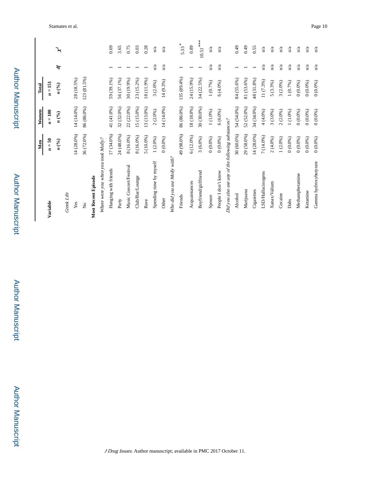|                                                   | Men         | Women      | Total       |                          |                            |
|---------------------------------------------------|-------------|------------|-------------|--------------------------|----------------------------|
| Variable                                          | $n = 50$    | $n=100$    | $n = 151$   |                          |                            |
|                                                   | n(%)        | n(%)       | n(%)        | Þ                        | $\boldsymbol{\mathcal{F}}$ |
| Greek Life                                        |             |            |             |                          |                            |
| $\mathbf{Yes}$                                    | 14 (28.0%)  | 14 (14.0%) | 28 (18.5%)  |                          |                            |
| $\stackrel{\circ}{\phantom{}_{\sim}}$             | 36 (72.0%)  | 86 (86.0%) | 123 (81.5%) |                          |                            |
| <b>Most Recent Episode</b>                        |             |            |             |                          |                            |
| Where were you when you took Molly?               |             |            |             |                          |                            |
| Hanging with friends                              | 17 (34.0%)  | 41 (41.0%) | 59 (39.1%)  |                          | 0.69                       |
| Party                                             | 24 (48.0%)  | 32 (32.0%) | 56 (37.1%)  |                          | 3.65                       |
| Music Concert/Festival                            | 8 (16.0%)   | 22 (22.0%) | 30 (19.9%)  |                          | 0.75                       |
| Club/Bar/Lounge                                   | 8 (16.0%)   | 15 (15.0%) | 23 (15.2%)  |                          | 0.03                       |
| Rave                                              | $5(10.0\%)$ | 13 (13.0%) | 18(11.9%)   |                          | 0.28                       |
| Spending time by myself                           | $1(2.0\%)$  | $2(2.0\%)$ | $3(2.0\%)$  | n/a                      | n/a                        |
| Other                                             | 0(0.0%)     | 14 (14.0%) | 14 (9.3%)   | n/a                      | n/a                        |
| Who did you use Molly with?                       |             |            |             |                          |                            |
| Friends                                           | 49 (98.0%)  | 86 (86.0%) | 135 (89.4%) | $\overline{\phantom{0}}$ | $5.33*$                    |
| Acquaintances                                     | $6(12.0\%)$ | 18 (18.0%) | 24 (15.9%)  |                          | 0.89                       |
| Boyfriend/girlfriend                              | $3(6.0\%)$  | 30 (30.0%) | 34 (22.5%)  | $\overline{\phantom{0}}$ | $10.51***$                 |
| Spouse                                            | 0(0.0%)     | $1(1.0\%)$ | $1(0.7\%)$  | n/a                      | n/a                        |
| People I don't know                               | 0(0.0%)     | $6(6.0\%)$ | 6(4.0%)     | n/a                      | n/a                        |
| Did you also use any of the following substances? |             |            |             |                          |                            |
| Alcohol                                           | 30(60.0%)   | 54 (54.0%) | 84 (55.6%)  | 1                        | 64.0                       |
| Marijuana                                         | 29 (58.0%)  | 52 (52.0%) | 81 (53.6%)  | $\overline{\phantom{0}}$ | 0.49                       |
| Cigarettes                                        | 14 (28.0%)  | 34 (34.0%) | 48 (31.8%)  | $\overline{\phantom{0}}$ | 0.55                       |
| LSD/Hallucinogens                                 | 7 (14.0%)   | 4 (4.0%)   | 11 (7.3%)   | n/a                      | n/a                        |
| Xanax/Valium                                      | $2(4.0\%)$  | $3(3.0\%)$ | $5(3.3\%)$  | n/a                      | n/a                        |
| Cocaine                                           | $1(2.0\%)$  | $2(2.0\%)$ | 3(2.0%)     | n/a                      | n/a                        |
| Dabs                                              | 0(0.0%)     | $1(1.0\%)$ | 1(0.7%)     | n/a                      | n/a                        |
| Methamphetamine                                   | 0(0.0%)     | 0(0.0%)    | 0(0.0%)     | n'a                      | n/a                        |
| Ketamine                                          | 0(0.0%)     | 0(0.0%)    | 0(0.0%)     | n/a                      | n/a                        |
| Gamma hydroxybutyrate                             | 0(0.0%)     | 0(0.0%)    | 0(0.0%)     | $\mathbf{n}/\mathbf{a}$  | n/a                        |

Author Manuscript

Author Manuscript

Author Manuscript

Author Manuscript